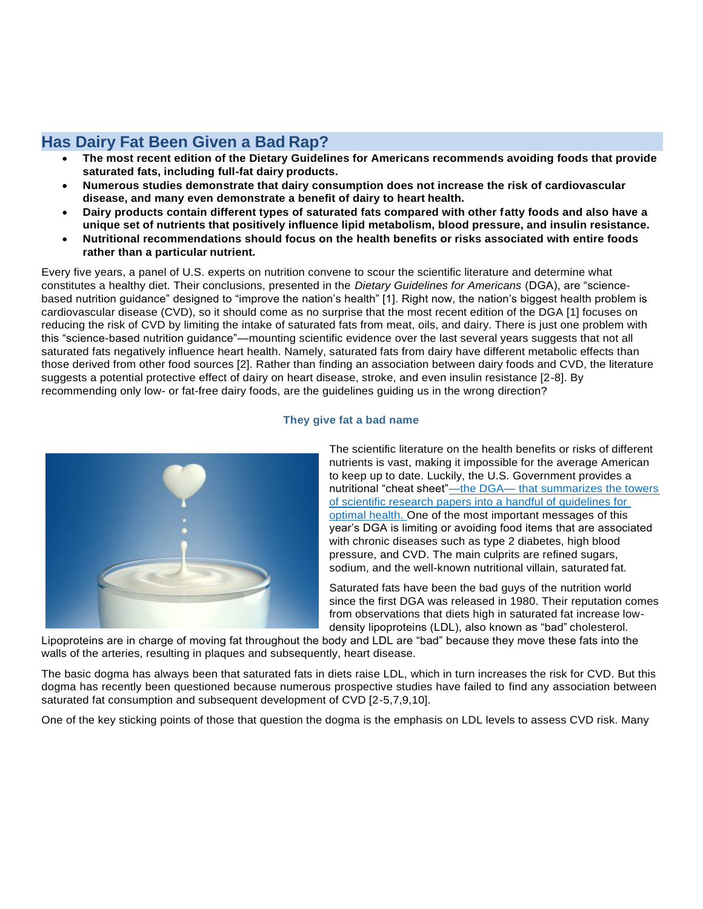## **Has Dairy Fat Been Given a Bad Rap?**

- **The most recent edition of the Dietary Guidelines for Americans recommends avoiding foods that provide saturated fats, including full-fat dairy products.**
- **Numerous studies demonstrate that dairy consumption does not increase the risk of cardiovascular disease, and many even demonstrate a benefit of dairy to heart health.**
- **Dairy products contain different types of saturated fats compared with other fatty foods and also have a unique set of nutrients that positively influence lipid metabolism, blood pressure, and insulin resistance.**
- **Nutritional recommendations should focus on the health benefits or risks associated with entire foods rather than a particular nutrient.**

Every five years, a panel of U.S. experts on nutrition convene to scour the scientific literature and determine what constitutes a healthy diet. Their conclusions, presented in the *Dietary Guidelines for Americans* (DGA), are "sciencebased nutrition guidance" designed to "improve the nation's health" [1]. Right now, the nation's biggest health problem is cardiovascular disease (CVD), so it should come as no surprise that the most recent edition of the DGA [1] focuses on reducing the risk of CVD by limiting the intake of saturated fats from meat, oils, and dairy. There is just one problem with this "science-based nutrition guidance"—mounting scientific evidence over the last several years suggests that not all saturated fats negatively influence heart health. Namely, saturated fats from dairy have different metabolic effects than those derived from other food sources [2]. Rather than finding an association between dairy foods and CVD, the literature suggests a potential protective effect of dairy on heart disease, stroke, and even insulin resistance [2-8]. By recommending only low- or fat-free dairy foods, are the guidelines guiding us in the wrong direction?





The scientific literature on the health benefits or risks of different nutrients is vast, making it impossible for the average American to keep up to date. Luckily, the U.S. Government provides a nutritional "cheat sheet"—the DGA— that summarizes the towers of scientific research papers into a handful of guidelines for optimal health. One of the most important messages of this year's DGA is limiting or avoiding food items that are associated with chronic diseases such as type 2 diabetes, high blood pressure, and CVD. The main culprits are refined sugars, sodium, and the well-known nutritional villain, saturated fat.

Saturated fats have been the bad guys of the nutrition world since the first DGA was released in 1980. Their reputation comes from observations that diets high in saturated fat increase lowdensity lipoproteins (LDL), also known as "bad" cholesterol.

Lipoproteins are in charge of moving fat throughout the body and LDL are "bad" because they move these fats into the walls of the arteries, resulting in plaques and subsequently, heart disease.

The basic dogma has always been that saturated fats in diets raise LDL, which in turn increases the risk for CVD. But this dogma has recently been questioned because numerous prospective studies have failed to find any association between saturated fat consumption and subsequent development of CVD [2-5,7,9,10].

One of the key sticking points of those that question the dogma is the emphasis on LDL levels to assess CVD risk. Many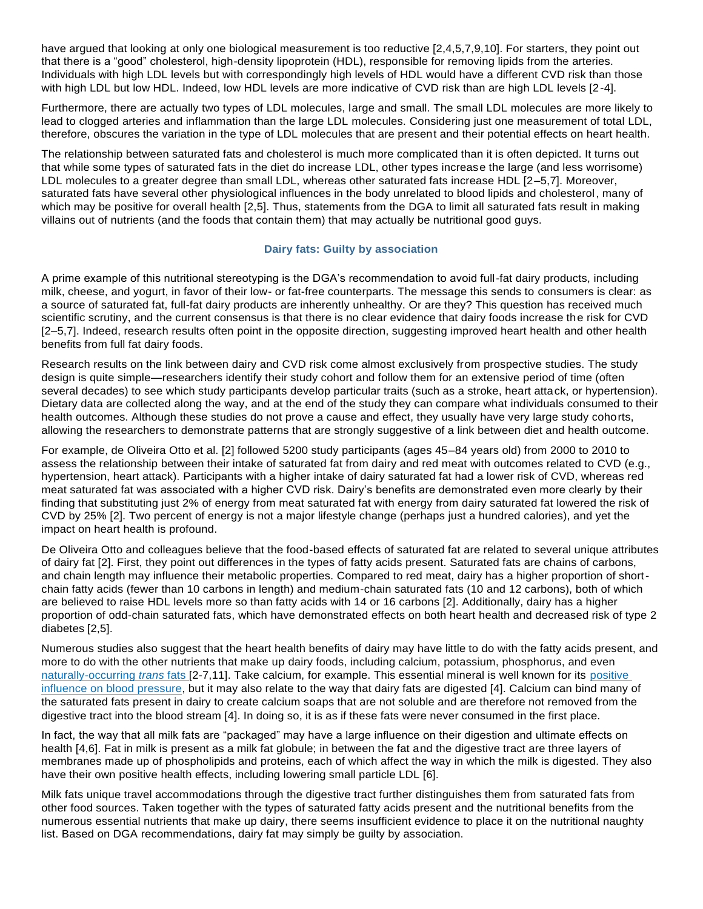have argued that looking at only one biological measurement is too reductive [2,4,5,7,9,10]. For starters, they point out that there is a "good" cholesterol, high-density lipoprotein (HDL), responsible for removing lipids from the arteries. Individuals with high LDL levels but with correspondingly high levels of HDL would have a different CVD risk than those with high LDL but low HDL. Indeed, low HDL levels are more indicative of CVD risk than are high LDL levels [2-4].

Furthermore, there are actually two types of LDL molecules, large and small. The small LDL molecules are more likely to lead to clogged arteries and inflammation than the large LDL molecules. Considering just one measurement of total LDL, therefore, obscures the variation in the type of LDL molecules that are present and their potential effects on heart health.

The relationship between saturated fats and cholesterol is much more complicated than it is often depicted. It turns out that while some types of saturated fats in the diet do increase LDL, other types increase the large (and less worrisome) LDL molecules to a greater degree than small LDL, whereas other saturated fats increase HDL [2–5,7]. Moreover, saturated fats have several other physiological influences in the body unrelated to blood lipids and cholesterol, many of which may be positive for overall health [2,5]. Thus, statements from the DGA to limit all saturated fats result in making villains out of nutrients (and the foods that contain them) that may actually be nutritional good guys.

## **Dairy fats: Guilty by association**

A prime example of this nutritional stereotyping is the DGA's recommendation to avoid full-fat dairy products, including milk, cheese, and yogurt, in favor of their low- or fat-free counterparts. The message this sends to consumers is clear: as a source of saturated fat, full-fat dairy products are inherently unhealthy. Or are they? This question has received much scientific scrutiny, and the current consensus is that there is no clear evidence that dairy foods increase the risk for CVD [2–5,7]. Indeed, research results often point in the opposite direction, suggesting improved heart health and other health benefits from full fat dairy foods.

Research results on the link between dairy and CVD risk come almost exclusively from prospective studies. The study design is quite simple—researchers identify their study cohort and follow them for an extensive period of time (often several decades) to see which study participants develop particular traits (such as a stroke, heart attack, or hypertension). Dietary data are collected along the way, and at the end of the study they can compare what individuals consumed to their health outcomes. Although these studies do not prove a cause and effect, they usually have very large study cohorts, allowing the researchers to demonstrate patterns that are strongly suggestive of a link between diet and health outcome.

For example, de Oliveira Otto et al. [2] followed 5200 study participants (ages 45–84 years old) from 2000 to 2010 to assess the relationship between their intake of saturated fat from dairy and red meat with outcomes related to CVD (e.g., hypertension, heart attack). Participants with a higher intake of dairy saturated fat had a lower risk of CVD, whereas red meat saturated fat was associated with a higher CVD risk. Dairy's benefits are demonstrated even more clearly by their finding that substituting just 2% of energy from meat saturated fat with energy from dairy saturated fat lowered the risk of CVD by 25% [2]. Two percent of energy is not a major lifestyle change (perhaps just a hundred calories), and yet the impact on heart health is profound.

De Oliveira Otto and colleagues believe that the food-based effects of saturated fat are related to several unique attributes of dairy fat [2]. First, they point out differences in the types of fatty acids present. Saturated fats are chains of carbons, and chain length may influence their metabolic properties. Compared to red meat, dairy has a higher proportion of shortchain fatty acids (fewer than 10 carbons in length) and medium-chain saturated fats (10 and 12 carbons), both of which are believed to raise HDL levels more so than fatty acids with 14 or 16 carbons [2]. Additionally, dairy has a higher proportion of odd-chain saturated fats, which have demonstrated effects on both heart health and decreased risk of type 2 diabetes [2,5].

Numerous studies also suggest that the heart health benefits of dairy may have little to do with the fatty acids present, and more to do with the other nutrients that make up dairy foods, including calcium, potassium, phosphorus, and even naturally-occurring *trans* fats [2-7,11]. Take calcium, for example. This essential mineral is well known for its positive influence on blood pressure, but it may also relate to the way that dairy fats are digested [4]. Calcium can bind many of the saturated fats present in dairy to create calcium soaps that are not soluble and are therefore not removed from the digestive tract into the blood stream [4]. In doing so, it is as if these fats were never consumed in the first place.

In fact, the way that all milk fats are "packaged" may have a large influence on their digestion and ultimate effects on health [4,6]. Fat in milk is present as a milk fat globule; in between the fat and the digestive tract are three layers of membranes made up of phospholipids and proteins, each of which affect the way in which the milk is digested. They also have their own positive health effects, including lowering small particle LDL [6].

Milk fats unique travel accommodations through the digestive tract further distinguishes them from saturated fats from other food sources. Taken together with the types of saturated fatty acids present and the nutritional benefits from the numerous essential nutrients that make up dairy, there seems insufficient evidence to place it on the nutritional naughty list. Based on DGA recommendations, dairy fat may simply be guilty by association.